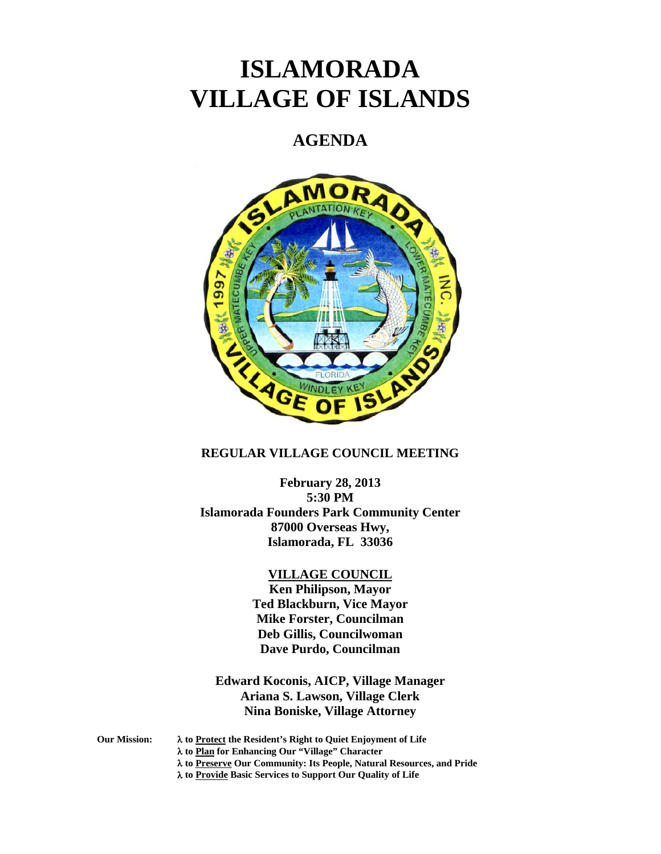# **ISLAMORADA VILLAGE OF ISLANDS**

## **AGENDA**



## **REGULAR VILLAGE COUNCIL MEETING**

**February 28, 2013 5:30 PM Islamorada Founders Park Community Center 87000 Overseas Hwy, Islamorada, FL 33036** 

#### **VILLAGE COUNCIL**

**Ken Philipson, Mayor Ted Blackburn, Vice Mayor Mike Forster, Councilman Deb Gillis, Councilwoman Dave Purdo, Councilman** 

**Edward Koconis, AICP, Village Manager Ariana S. Lawson, Village Clerk Nina Boniske, Village Attorney** 

**Our Mission: to Protect the Resident's Right to Quiet Enjoyment of Life** 

 **to Plan for Enhancing Our "Village" Character** 

 **to Preserve Our Community: Its People, Natural Resources, and Pride** 

 **to Provide Basic Services to Support Our Quality of Life**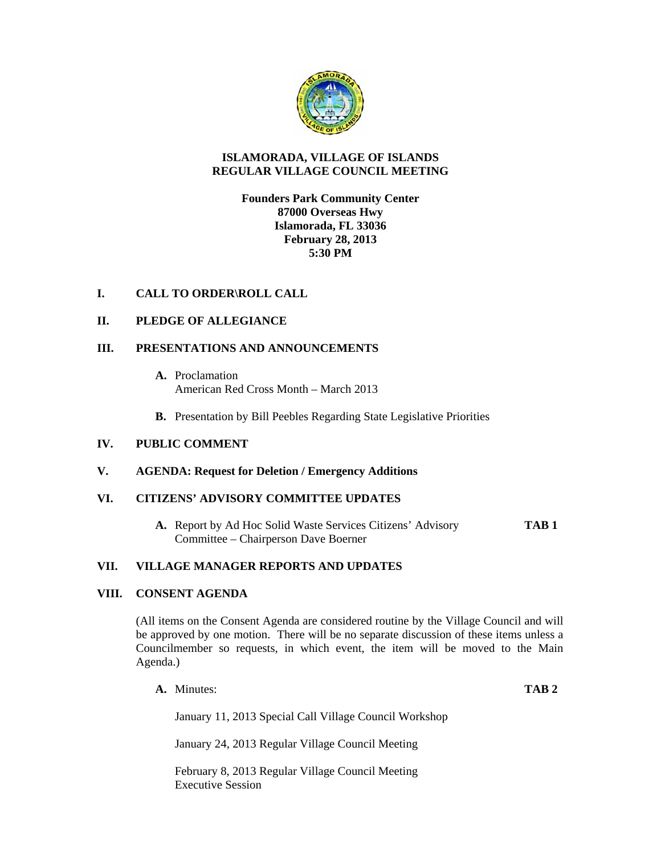

## **ISLAMORADA, VILLAGE OF ISLANDS REGULAR VILLAGE COUNCIL MEETING**

## **Founders Park Community Center 87000 Overseas Hwy Islamorada, FL 33036 February 28, 2013 5:30 PM**

## **I. CALL TO ORDER\ROLL CALL**

## **II. PLEDGE OF ALLEGIANCE**

## **III. PRESENTATIONS AND ANNOUNCEMENTS**

- **A.** Proclamation American Red Cross Month – March 2013
- **B.** Presentation by Bill Peebles Regarding State Legislative Priorities

## **IV. PUBLIC COMMENT**

## **V. AGENDA: Request for Deletion / Emergency Additions**

## **VI. CITIZENS' ADVISORY COMMITTEE UPDATES**

**A.** Report by Ad Hoc Solid Waste Services Citizens' Advisory **TAB 1** Committee – Chairperson Dave Boerner

#### **VII. VILLAGE MANAGER REPORTS AND UPDATES**

## **VIII. CONSENT AGENDA**

(All items on the Consent Agenda are considered routine by the Village Council and will be approved by one motion. There will be no separate discussion of these items unless a Councilmember so requests, in which event, the item will be moved to the Main Agenda.)

**A.** Minutes: **TAB 2**

January 11, 2013 Special Call Village Council Workshop

January 24, 2013 Regular Village Council Meeting

February 8, 2013 Regular Village Council Meeting Executive Session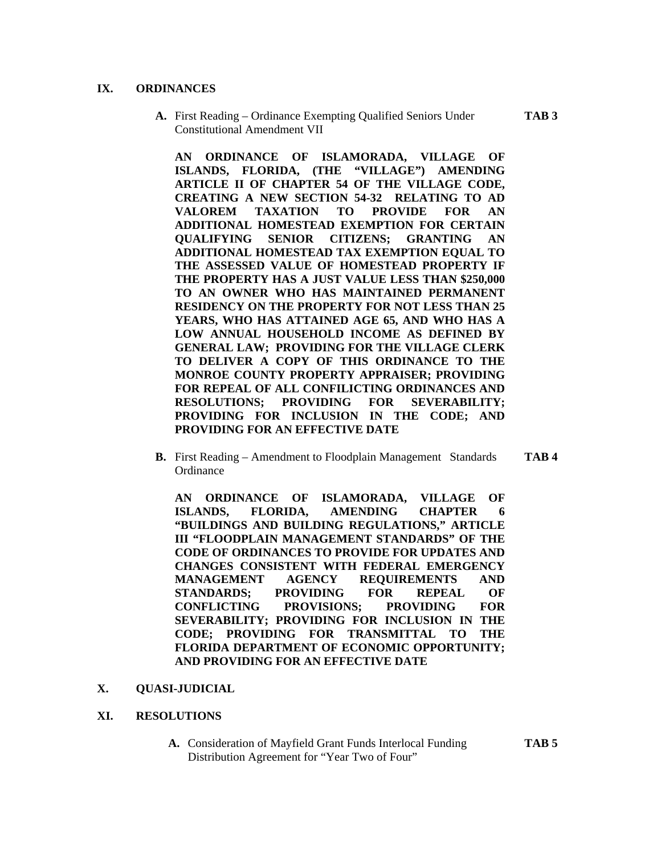## **IX. ORDINANCES**

**A.** First Reading – Ordinance Exempting Qualified Seniors Under **TAB 3**  Constitutional Amendment VII

**AN ORDINANCE OF ISLAMORADA, VILLAGE OF ISLANDS, FLORIDA, (THE "VILLAGE") AMENDING ARTICLE II OF CHAPTER 54 OF THE VILLAGE CODE, CREATING A NEW SECTION 54-32 RELATING TO AD VALOREM TAXATION TO PROVIDE FOR AN ADDITIONAL HOMESTEAD EXEMPTION FOR CERTAIN QUALIFYING SENIOR CITIZENS; GRANTING AN ADDITIONAL HOMESTEAD TAX EXEMPTION EQUAL TO THE ASSESSED VALUE OF HOMESTEAD PROPERTY IF THE PROPERTY HAS A JUST VALUE LESS THAN \$250,000 TO AN OWNER WHO HAS MAINTAINED PERMANENT RESIDENCY ON THE PROPERTY FOR NOT LESS THAN 25 YEARS, WHO HAS ATTAINED AGE 65, AND WHO HAS A LOW ANNUAL HOUSEHOLD INCOME AS DEFINED BY GENERAL LAW; PROVIDING FOR THE VILLAGE CLERK TO DELIVER A COPY OF THIS ORDINANCE TO THE MONROE COUNTY PROPERTY APPRAISER; PROVIDING FOR REPEAL OF ALL CONFILICTING ORDINANCES AND RESOLUTIONS; PROVIDING FOR SEVERABILITY; PROVIDING FOR INCLUSION IN THE CODE; AND PROVIDING FOR AN EFFECTIVE DATE** 

**B.** First Reading – Amendment to Floodplain Management Standards **TAB 4 Ordinance** 

**AN ORDINANCE OF ISLAMORADA, VILLAGE OF ISLANDS, FLORIDA, AMENDING CHAPTER 6 "BUILDINGS AND BUILDING REGULATIONS," ARTICLE III "FLOODPLAIN MANAGEMENT STANDARDS" OF THE CODE OF ORDINANCES TO PROVIDE FOR UPDATES AND CHANGES CONSISTENT WITH FEDERAL EMERGENCY MANAGEMENT AGENCY REQUIREMENTS AND STANDARDS; PROVIDING FOR REPEAL OF CONFLICTING PROVISIONS; PROVIDING FOR SEVERABILITY; PROVIDING FOR INCLUSION IN THE CODE; PROVIDING FOR TRANSMITTAL TO THE FLORIDA DEPARTMENT OF ECONOMIC OPPORTUNITY; AND PROVIDING FOR AN EFFECTIVE DATE** 

**X. QUASI-JUDICIAL** 

#### **XI. RESOLUTIONS**

**A.** Consideration of Mayfield Grant Funds Interlocal Funding **TAB 5**  Distribution Agreement for "Year Two of Four"